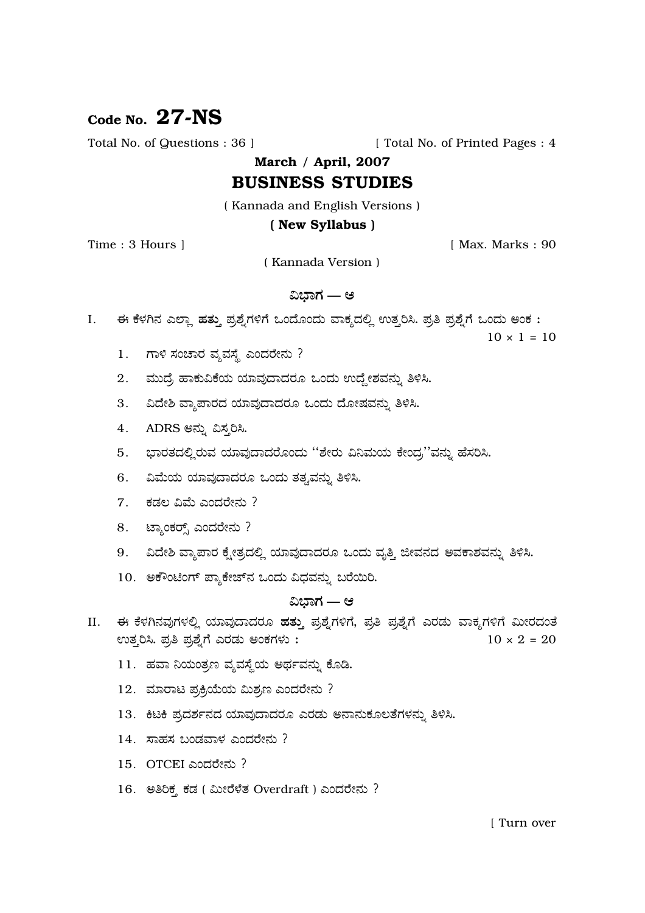# Code No.  $27-NS$

Total No. of Questions : 36 ]

[ Total No. of Printed Pages : 4

March / April, 2007

# **BUSINESS STUDIES**

(Kannada and English Versions)

## (New Syllabus)

Time: 3 Hours 1

[ Max. Marks: 90

(Kannada Version)

# ವಿಭಾಗ — ಅ

ಈ ಕೆಳಗಿನ ಎಲ್ಲಾ ಹತ್ತು ಪ್ರಶ್ನೆಗಳಿಗೆ ಒಂದೊಂದು ವಾಕ್ಯದಲ್ಲಿ ಉತ್ತರಿಸಿ. ಪ್ರತಿ ಪ್ರಶ್ನೆಗೆ ಒಂದು ಅಂಕ :  $\mathbf{I}$ .

 $10 \times 1 = 10$ 

- ಗಾಳಿ ಸಂಚಾರ ವ್ಯವಸ್ಥೆ ಎಂದರೇನು ? 1.
- 2. ಮುದ್ರೆ ಹಾಕುವಿಕೆಯ ಯಾವುದಾದರೂ ಒಂದು ಉದ್ದೇಶವನ್ನು ತಿಳಿಸಿ.
- 3. ವಿದೇಶಿ ವ್ಯಾಪಾರದ ಯಾವುದಾದರೂ ಒಂದು ದೋಷವನ್ನು ತಿಳಿಸಿ.
- 4. ADRS ಅನ್ನು ವಿಸ್ತರಿಸಿ.
- 5. ಭಾರತದಲ್ಲಿರುವ ಯಾವುದಾದರೊಂದು ''ಶೇರು ವಿನಿಮಯ ಕೇಂದ್ರ''ವನ್ನು ಹೆಸರಿಸಿ.
- 6. ವಿಮೆಯ ಯಾವುದಾದರೂ ಒಂದು ತತ್ವವನ್ನು ತಿಳಿಸಿ.
- 7. ಕಡಲ ವಿಮೆ ಎಂದರೇನು ?
- 8. ಟ್ಯಾಂಕರ್, ಎಂದರೇನು ?
- 9. ವಿದೇಶಿ ವ್ಯಾಪಾರ ಕ್ಷೇತ್ರದಲ್ಲಿ ಯಾವುದಾದರೂ ಒಂದು ವೃತ್ತಿ ಜೀವನದ ಅವಕಾಶವನ್ನು ತಿಳಿಸಿ.
- 10. ಅಕೌಂಟಿಂಗ್ ಪ್ಯಾಕೇಜ್ ನ ಒಂದು ವಿಧವನ್ನು ಬರೆಯಿರಿ.

# ವಿಭಾಗ — ಆ

- II. ಈ ಕೆಳಗಿನವುಗಳಲ್ಲಿ ಯಾವುದಾದರೂ ಹತ್ತು ಪ್ರಶ್ನೆಗಳಿಗೆ, ಪ್ರತಿ ಪ್ರಶ್ನೆಗೆ ಎರಡು ವಾಕ್ಯಗಳಿಗೆ ಮೀರದಂತೆ ಉತ್ತರಿಸಿ. ಪ್ರತಿ ಪ್ರಶ್ನೆಗೆ ಎರಡು ಅಂಕಗಳು:  $10 \times 2 = 20$ 
	- 11. ಹವಾ ನಿಯಂತ್ರಣ ವ್ಯವಸ್ಥೆಯ ಅರ್ಥವನ್ನು ಕೊಡಿ.
	- 12. ಮಾರಾಟ ಪ್ರಕ್ರಿಯೆಯ ಮಿಶ್ರಣ ಎಂದರೇನು ?
	- 13. ಕಿಟಕಿ ಪ್ರದರ್ಶನದ ಯಾವುದಾದರೂ ಎರಡು ಅನಾನುಕೂಲತೆಗಳನ್ನು ತಿಳಿಸಿ.
	- $14.$  ಸಾಹಸ ಬಂಡವಾಳ ಎಂದರೇನು?
	- 15. OTCEI ಎಂದರೇನು?
	- 16. ಅತಿರಿಕ್ಸ ಕಡ (ಮೀರೆಳೆತ Overdraft) ಎಂದರೇನು ?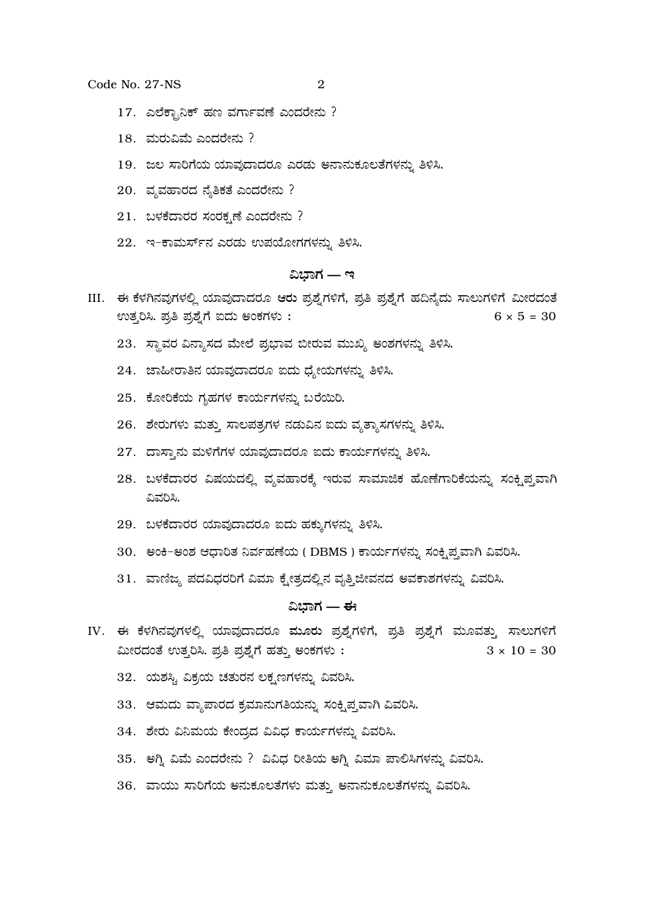Code No. 27-NS

- 17. ಎಲೆಕ್ಟಾನಿಕ್ ಹಣ ವರ್ಗಾವಣೆ ಎಂದರೇನು ?
- $18.$  ಮರುವಿಮೆ ಎಂದರೇನು ?
- 19. ಜಲ ಸಾರಿಗೆಯ ಯಾವುದಾದರೂ ಎರಡು ಅನಾನುಕೂಲತೆಗಳನ್ನು ತಿಳಿಸಿ.
- 20. ವ್ಯವಹಾರದ ನೈತಿಕತೆ ಎಂದರೇನು ?
- 21. ಬಳಕೆದಾರರ ಸಂರಕೃಣೆ ಎಂದರೇನು ?
- 22. ಇ-ಕಾಮರ್ಸ್ ನ ಎರಡು ಉಪಯೋಗಗಳನ್ನು ತಿಳಿಸಿ.

## ವಿಭಾಗ — ಇ

- III. ಈ ಕೆಳಗಿನವುಗಳಲ್ಲಿ ಯಾವುದಾದರೂ ಆರು ಪ್ರಶ್ನೆಗಳಿಗೆ, ಪ್ರತಿ ಪ್ರಶ್ನೆಗೆ ಹದಿನ್ಯೆದು ಸಾಲುಗಳಿಗೆ ಮೀರದಂತೆ ಉತ್ತರಿಸಿ. ಪ್ರತಿ ಪ್ರಶ್ನೆಗೆ ಐದು ಅಂಕಗಳು:  $6 \times 5 = 30$ 
	- 23. ಸ್ಥಾವರ ವಿನ್ಯಾಸದ ಮೇಲೆ ಪ್ರಭಾವ ಬೀರುವ ಮುಖ್ಯ ಅಂಶಗಳನ್ನು ತಿಳಿಸಿ.
	- 24. ಜಾಹೀರಾತಿನ ಯಾವುದಾದರೂ ಐದು ಧ್ಯೇಯಗಳನ್ನು ತಿಳಿಸಿ.
	- 25. ಕೋರಿಕೆಯ ಗೃಹಗಳ ಕಾರ್ಯಗಳನ್ನು ಬರೆಯಿರಿ.
	- 26. ಶೇರುಗಳು ಮತ್ತು ಸಾಲಪತ್ರಗಳ ನಡುವಿನ ಐದು ವ್ಯತ್ಯಾಸಗಳನ್ನು ತಿಳಿಸಿ.
	- 27. ದಾಸ್ತಾನು ಮಳಿಗೆಗಳ ಯಾವುದಾದರೂ ಐದು ಕಾರ್ಯಗಳನ್ನು ತಿಳಿಸಿ.
	- 28. ಬಳಕೆದಾರರ ವಿಷಯದಲ್ಲಿ ವ್ಯವಹಾರಕ್ಕೆ ಇರುವ ಸಾಮಾಜಿಕ ಹೊಣೆಗಾರಿಕೆಯನ್ನು ಸಂಕ್ಷಿಪ್ತವಾಗಿ ವಿವರಿಸಿ.
	- 29. ಬಳಕೆದಾರರ ಯಾವುದಾದರೂ ಐದು ಹಕ್ಕುಗಳನ್ನು ತಿಳಿಸಿ.
	- 30. ಅಂಕಿ-ಅಂಶ ಆಧಾರಿತ ನಿರ್ವಹಣೆಯ (DBMS) ಕಾರ್ಯಗಳನ್ನು ಸಂಕ್ಷಿಪ್ತವಾಗಿ ವಿವರಿಸಿ.
	- 31. ವಾಣಿಜ್ಯ ಪದವಿಧರರಿಗೆ ವಿಮಾ ಕೈೕತ್ರದಲ್ಲಿನ ವೃತ್ತಿಜೀವನದ ಅವಕಾಶಗಳನ್ನು ವಿವರಿಸಿ.

## ವಿಭಾಗ — ಈ

- IV. ಈ ಕೆಳಗಿನವುಗಳಲ್ಲಿ ಯಾವುದಾದರೂ ಮೂರು ಪ್ರಶ್ನೆಗಳಿಗೆ, ಪ್ರತಿ ಪ್ರಶ್ನೆಗೆ ಮೂವತ್ತು ಸಾಲುಗಳಿಗೆ ಮೀರದಂತೆ ಉತ್ತರಿಸಿ. ಪ್ರತಿ ಪ್ರಶ್ನೆಗೆ ಹತ್ತು ಅಂಕಗಳು:  $3 \times 10 = 30$ 
	- 32. ಯಶಸ್ಸಿ ವಿಕ್ರಯ ಚತುರನ ಲಕ್ಷಣಗಳನ್ನು ವಿವರಿಸಿ.
	- 33. ಆಮದು ವ್ಯಾಪಾರದ ಕ್ರಮಾನುಗತಿಯನ್ನು ಸಂಕ್ಷಿಪ್ತವಾಗಿ ವಿವರಿಸಿ.
	- 34. ಶೇರು ವಿನಿಮಯ ಕೇಂದ್ರದ ವಿವಿಧ ಕಾರ್ಯಗಳನ್ನು ವಿವರಿಸಿ.
	- 35. ಅಗ್ನಿ ವಿಮೆ ಎಂದರೇನು ? ವಿವಿಧ ರೀತಿಯ ಅಗ್ನಿ ವಿಮಾ ಪಾಲಿಸಿಗಳನ್ನು ವಿವರಿಸಿ.
	- 36. ವಾಯು ಸಾರಿಗೆಯ ಅನುಕೂಲತೆಗಳು ಮತ್ತು ಅನಾನುಕೂಲತೆಗಳನ್ನು ವಿವರಿಸಿ.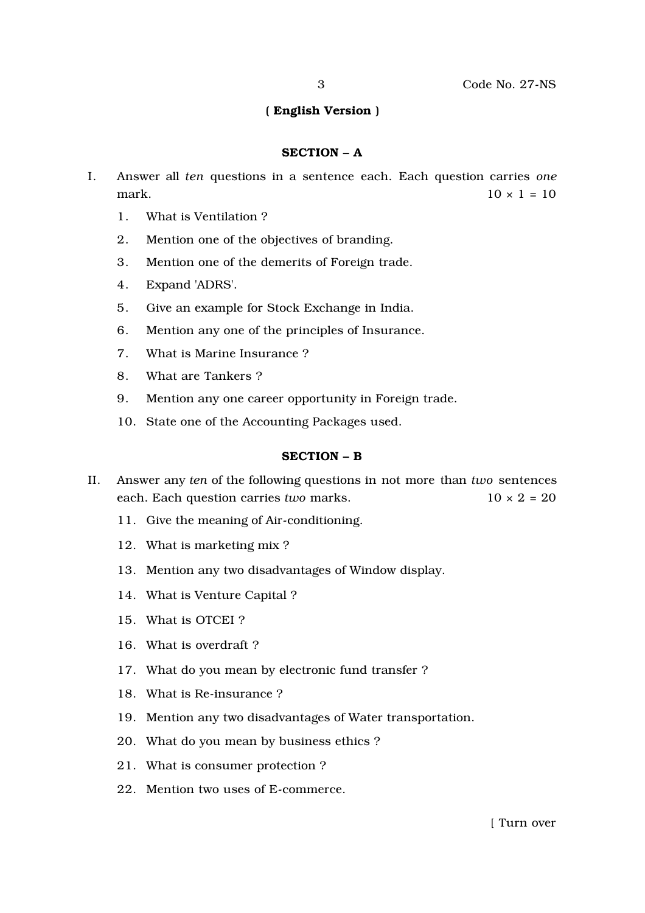## ( English Version )

#### SECTION – A

- I. Answer all *ten* questions in a sentence each. Each question carries *one* mark.  $10 \times 1 = 10$ 
	- 1. What is Ventilation ?
	- 2. Mention one of the objectives of branding.
	- 3. Mention one of the demerits of Foreign trade.
	- 4. Expand 'ADRS'.
	- 5. Give an example for Stock Exchange in India.
	- 6. Mention any one of the principles of Insurance.
	- 7. What is Marine Insurance ?
	- 8. What are Tankers ?
	- 9. Mention any one career opportunity in Foreign trade.
	- 10. State one of the Accounting Packages used.

#### SECTION – B

- II. Answer any *ten* of the following questions in not more than *two* sentences each. Each question carries *two* marks.  $10 \times 2 = 20$ 
	- 11. Give the meaning of Air-conditioning.
	- 12. What is marketing mix ?
	- 13. Mention any two disadvantages of Window display.
	- 14. What is Venture Capital ?
	- 15. What is OTCEI ?
	- 16. What is overdraft ?
	- 17. What do you mean by electronic fund transfer ?
	- 18. What is Re-insurance ?
	- 19. Mention any two disadvantages of Water transportation.
	- 20. What do you mean by business ethics ?
	- 21. What is consumer protection ?
	- 22. Mention two uses of E-commerce.